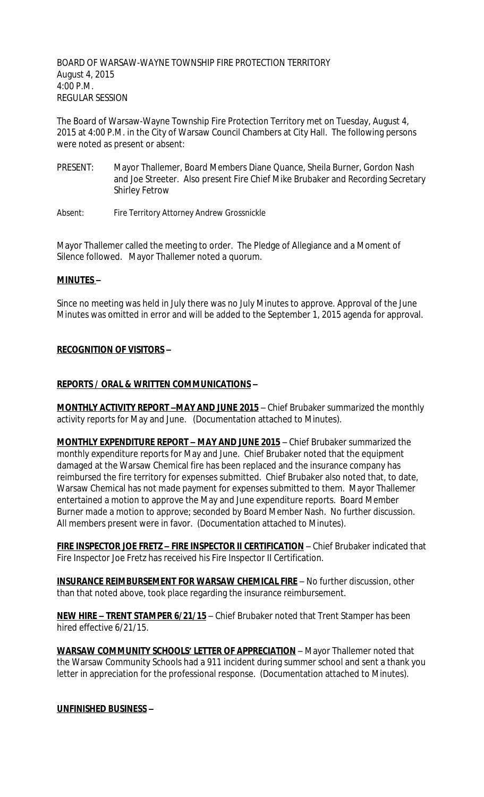BOARD OF WARSAW-WAYNE TOWNSHIP FIRE PROTECTION TERRITORY August 4, 2015 4:00 P.M. REGULAR SESSION

The Board of Warsaw-Wayne Township Fire Protection Territory met on Tuesday, August 4, 2015 at 4:00 P.M. in the City of Warsaw Council Chambers at City Hall. The following persons were noted as present or absent:

- PRESENT: Mayor Thallemer, Board Members Diane Quance, Sheila Burner, Gordon Nash and Joe Streeter. Also present Fire Chief Mike Brubaker and Recording Secretary Shirley Fetrow
- Absent: Fire Territory Attorney Andrew Grossnickle

Mayor Thallemer called the meeting to order. The Pledge of Allegiance and a Moment of Silence followed. Mayor Thallemer noted a quorum.

### **MINUTES –**

Since no meeting was held in July there was no July Minutes to approve. Approval of the June Minutes was omitted in error and will be added to the September 1, 2015 agenda for approval.

### **RECOGNITION OF VISITORS –**

### **REPORTS / ORAL & WRITTEN COMMUNICATIONS –**

**MONTHLY ACTIVITY REPORT -MAY AND JUNE 2015** - Chief Brubaker summarized the monthly activity reports for May and June. (Documentation attached to Minutes).

**MONTHLY EXPENDITURE REPORT – MAY AND JUNE 2015** – Chief Brubaker summarized the monthly expenditure reports for May and June. Chief Brubaker noted that the equipment damaged at the Warsaw Chemical fire has been replaced and the insurance company has reimbursed the fire territory for expenses submitted. Chief Brubaker also noted that, to date, Warsaw Chemical has not made payment for expenses submitted to them. Mayor Thallemer entertained a motion to approve the May and June expenditure reports. Board Member Burner made a motion to approve; seconded by Board Member Nash. No further discussion. All members present were in favor. (Documentation attached to Minutes).

**FIRE INSPECTOR JOE FRETZ – FIRE INSPECTOR II CERTIFICATION** – Chief Brubaker indicated that Fire Inspector Joe Fretz has received his Fire Inspector II Certification.

**INSURANCE REIMBURSEMENT FOR WARSAW CHEMICAL FIRE** – No further discussion, other than that noted above, took place regarding the insurance reimbursement.

**NEW HIRE – TRENT STAMPER 6/21/15** – Chief Brubaker noted that Trent Stamper has been hired effective 6/21/15.

**WARSAW COMMUNITY SCHOOLS' LETTER OF APPRECIATION** – Mayor Thallemer noted that the Warsaw Community Schools had a 911 incident during summer school and sent a thank you letter in appreciation for the professional response. (Documentation attached to Minutes).

# **UNFINISHED BUSINESS –**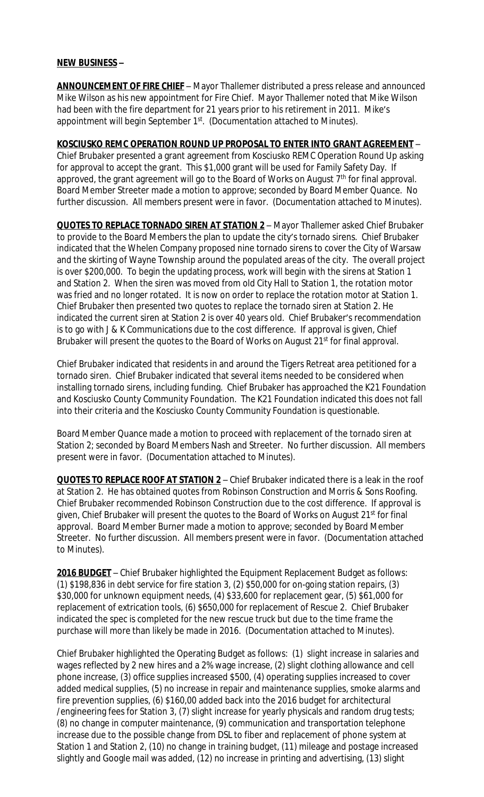### **NEW BUSINESS –**

**ANNOUNCEMENT OF FIRE CHIEF** – Mayor Thallemer distributed a press release and announced Mike Wilson as his new appointment for Fire Chief. Mayor Thallemer noted that Mike Wilson had been with the fire department for 21 years prior to his retirement in 2011. Mike's appointment will begin September 1<sup>st</sup>. (Documentation attached to Minutes).

**KOSCIUSKO REMC OPERATION ROUND UP PROPOSAL TO ENTER INTO GRANT AGREEMENT** – Chief Brubaker presented a grant agreement from Kosciusko REMC Operation Round Up asking for approval to accept the grant. This \$1,000 grant will be used for Family Safety Day. If approved, the grant agreement will go to the Board of Works on August  $7<sup>th</sup>$  for final approval. Board Member Streeter made a motion to approve; seconded by Board Member Quance. No further discussion. All members present were in favor. (Documentation attached to Minutes).

**QUOTES TO REPLACE TORNADO SIREN AT STATION 2** – Mayor Thallemer asked Chief Brubaker to provide to the Board Members the plan to update the city's tornado sirens. Chief Brubaker indicated that the Whelen Company proposed nine tornado sirens to cover the City of Warsaw and the skirting of Wayne Township around the populated areas of the city. The overall project is over \$200,000. To begin the updating process, work will begin with the sirens at Station 1 and Station 2. When the siren was moved from old City Hall to Station 1, the rotation motor was fried and no longer rotated. It is now on order to replace the rotation motor at Station 1. Chief Brubaker then presented two quotes to replace the tornado siren at Station 2. He indicated the current siren at Station 2 is over 40 years old. Chief Brubaker's recommendation is to go with J & K Communications due to the cost difference. If approval is given, Chief Brubaker will present the quotes to the Board of Works on August 21<sup>st</sup> for final approval.

Chief Brubaker indicated that residents in and around the Tigers Retreat area petitioned for a tornado siren. Chief Brubaker indicated that several items needed to be considered when installing tornado sirens, including funding. Chief Brubaker has approached the K21 Foundation and Kosciusko County Community Foundation. The K21 Foundation indicated this does not fall into their criteria and the Kosciusko County Community Foundation is questionable.

Board Member Quance made a motion to proceed with replacement of the tornado siren at Station 2; seconded by Board Members Nash and Streeter. No further discussion. All members present were in favor. (Documentation attached to Minutes).

**QUOTES TO REPLACE ROOF AT STATION 2** – Chief Brubaker indicated there is a leak in the roof at Station 2. He has obtained quotes from Robinson Construction and Morris & Sons Roofing. Chief Brubaker recommended Robinson Construction due to the cost difference. If approval is given, Chief Brubaker will present the quotes to the Board of Works on August 21<sup>st</sup> for final approval. Board Member Burner made a motion to approve; seconded by Board Member Streeter. No further discussion. All members present were in favor. (Documentation attached to Minutes).

**2016 BUDGET** – Chief Brubaker highlighted the Equipment Replacement Budget as follows: (1) \$198,836 in debt service for fire station 3, (2) \$50,000 for on-going station repairs, (3) \$30,000 for unknown equipment needs, (4) \$33,600 for replacement gear, (5) \$61,000 for replacement of extrication tools, (6) \$650,000 for replacement of Rescue 2. Chief Brubaker indicated the spec is completed for the new rescue truck but due to the time frame the purchase will more than likely be made in 2016. (Documentation attached to Minutes).

Chief Brubaker highlighted the Operating Budget as follows: (1) slight increase in salaries and wages reflected by 2 new hires and a 2% wage increase, (2) slight clothing allowance and cell phone increase, (3) office supplies increased \$500, (4) operating supplies increased to cover added medical supplies, (5) no increase in repair and maintenance supplies, smoke alarms and fire prevention supplies, (6) \$160,00 added back into the 2016 budget for architectural /engineering fees for Station 3, (7) slight increase for yearly physicals and random drug tests; (8) no change in computer maintenance, (9) communication and transportation telephone increase due to the possible change from DSL to fiber and replacement of phone system at Station 1 and Station 2, (10) no change in training budget, (11) mileage and postage increased slightly and Google mail was added, (12) no increase in printing and advertising, (13) slight